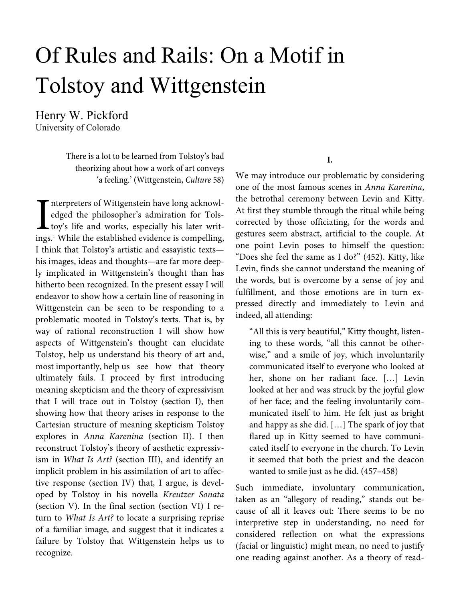# Of Rules and Rails: On a Motif in Tolstoy and Wittgenstein

Henry W. Pickford University of Colorado

> There is a lot to be learned from Tolstoy's bad theorizing about how a work of art conveys 'a feeling.' (Wittgenstein, *Culture* 58)

nterpreters of Wittgenstein have long acknowledged the philosopher's admiration for Tolstoy's life and works, especially his later writings.1 While the established evidence is compelling, I think that Tolstoy's artistic and essayistic texts his images, ideas and thoughts—are far more deeply implicated in Wittgenstein's thought than has hitherto been recognized. In the present essay I will endeavor to show how a certain line of reasoning in Wittgenstein can be seen to be responding to a problematic mooted in Tolstoy's texts. That is, by way of rational reconstruction I will show how aspects of Wittgenstein's thought can elucidate Tolstoy, help us understand his theory of art and, most importantly, help us see how that theory ultimately fails. I proceed by first introducing meaning skepticism and the theory of expressivism that I will trace out in Tolstoy (section I), then showing how that theory arises in response to the Cartesian structure of meaning skepticism Tolstoy explores in Anna Karenina (section II). I then reconstruct Tolstoy's theory of aesthetic expressivism in What Is Art? (section III), and identify an implicit problem in his assimilation of art to affective response (section IV) that, I argue, is developed by Tolstoy in his novella Kreutzer Sonata (section V). In the final section (section VI) I return to What Is Art? to locate a surprising reprise of a familiar image, and suggest that it indicates a failure by Tolstoy that Wittgenstein helps us to recognize.  $\int_{\text{top}}^{\text{nt6}} \text{edg}$ 

#### **I.**

We may introduce our problematic by considering one of the most famous scenes in Anna Karenina, the betrothal ceremony between Levin and Kitty. At first they stumble through the ritual while being corrected by those officiating, for the words and gestures seem abstract, artificial to the couple. At one point Levin poses to himself the question: "Does she feel the same as I do?" (452). Kitty, like Levin, finds she cannot understand the meaning of the words, but is overcome by a sense of joy and fulfillment, and those emotions are in turn expressed directly and immediately to Levin and indeed, all attending:

"All this is very beautiful," Kitty thought, listening to these words, "all this cannot be otherwise," and a smile of joy, which involuntarily communicated itself to everyone who looked at her, shone on her radiant face. […] Levin looked at her and was struck by the joyful glow of her face; and the feeling involuntarily communicated itself to him. He felt just as bright and happy as she did. […] The spark of joy that flared up in Kitty seemed to have communicated itself to everyone in the church. To Levin it seemed that both the priest and the deacon wanted to smile just as he did. (457–458)

Such immediate, involuntary communication, taken as an "allegory of reading," stands out because of all it leaves out: There seems to be no interpretive step in understanding, no need for considered reflection on what the expressions (facial or linguistic) might mean, no need to justify one reading against another. As a theory of read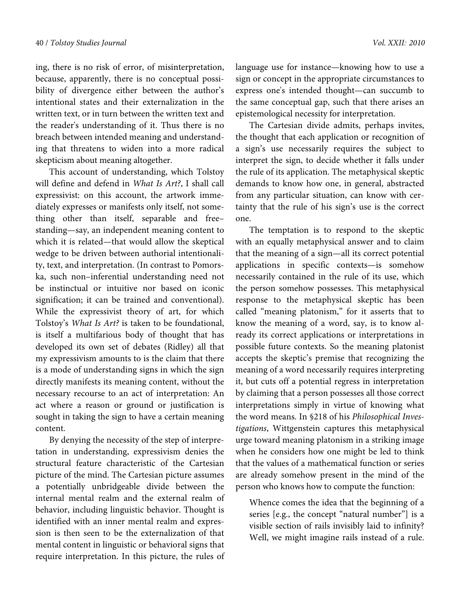ing, there is no risk of error, of misinterpretation, because, apparently, there is no conceptual possibility of divergence either between the author's intentional states and their externalization in the written text, or in turn between the written text and the reader's understanding of it. Thus there is no breach between intended meaning and understanding that threatens to widen into a more radical skepticism about meaning altogether.

This account of understanding, which Tolstoy will define and defend in What Is Art?, I shall call expressivist: on this account, the artwork immediately expresses or manifests only itself, not something other than itself, separable and free– standing—say, an independent meaning content to which it is related—that would allow the skeptical wedge to be driven between authorial intentionality, text, and interpretation. (In contrast to Pomorska, such non–inferential understanding need not be instinctual or intuitive nor based on iconic signification; it can be trained and conventional). While the expressivist theory of art, for which Tolstoy's What Is Art? is taken to be foundational, is itself a multifarious body of thought that has developed its own set of debates (Ridley) all that my expressivism amounts to is the claim that there is a mode of understanding signs in which the sign directly manifests its meaning content, without the necessary recourse to an act of interpretation: An act where a reason or ground or justification is sought in taking the sign to have a certain meaning content.

By denying the necessity of the step of interpretation in understanding, expressivism denies the structural feature characteristic of the Cartesian picture of the mind. The Cartesian picture assumes a potentially unbridgeable divide between the internal mental realm and the external realm of behavior, including linguistic behavior. Thought is identified with an inner mental realm and expression is then seen to be the externalization of that mental content in linguistic or behavioral signs that require interpretation. In this picture, the rules of language use for instance—knowing how to use a sign or concept in the appropriate circumstances to express one's intended thought—can succumb to the same conceptual gap, such that there arises an epistemological necessity for interpretation.

The Cartesian divide admits, perhaps invites, the thought that each application or recognition of a sign's use necessarily requires the subject to interpret the sign, to decide whether it falls under the rule of its application. The metaphysical skeptic demands to know how one, in general, abstracted from any particular situation, can know with certainty that the rule of his sign's use is the correct one.

The temptation is to respond to the skeptic with an equally metaphysical answer and to claim that the meaning of a sign—all its correct potential applications in specific contexts—is somehow necessarily contained in the rule of its use, which the person somehow possesses. This metaphysical response to the metaphysical skeptic has been called "meaning platonism," for it asserts that to know the meaning of a word, say, is to know already its correct applications or interpretations in possible future contexts. So the meaning platonist accepts the skeptic's premise that recognizing the meaning of a word necessarily requires interpreting it, but cuts off a potential regress in interpretation by claiming that a person possesses all those correct interpretations simply in virtue of knowing what the word means. In §218 of his Philosophical Investigations, Wittgenstein captures this metaphysical urge toward meaning platonism in a striking image when he considers how one might be led to think that the values of a mathematical function or series are already somehow present in the mind of the person who knows how to compute the function:

Whence comes the idea that the beginning of a series [e.g., the concept "natural number"] is a visible section of rails invisibly laid to infinity? Well, we might imagine rails instead of a rule.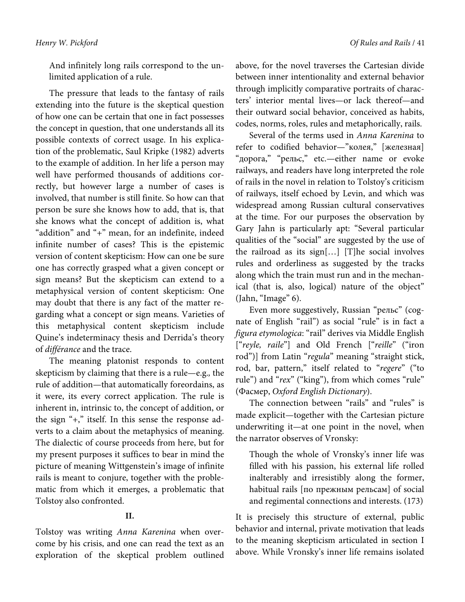And infinitely long rails correspond to the unlimited application of a rule.

The pressure that leads to the fantasy of rails extending into the future is the skeptical question of how one can be certain that one in fact possesses the concept in question, that one understands all its possible contexts of correct usage. In his explication of the problematic, Saul Kripke (1982) adverts to the example of addition. In her life a person may well have performed thousands of additions correctly, but however large a number of cases is involved, that number is still finite. So how can that person be sure she knows how to add, that is, that she knows what the concept of addition is, what "addition" and "+" mean, for an indefinite, indeed infinite number of cases? This is the epistemic version of content skepticism: How can one be sure one has correctly grasped what a given concept or sign means? But the skepticism can extend to a metaphysical version of content skepticism: One may doubt that there is any fact of the matter regarding what a concept or sign means. Varieties of this metaphysical content skepticism include Quine's indeterminacy thesis and Derrida's theory of différance and the trace.

The meaning platonist responds to content skepticism by claiming that there is a rule—e.g., the rule of addition—that automatically foreordains, as it were, its every correct application. The rule is inherent in, intrinsic to, the concept of addition, or the sign "+," itself. In this sense the response adverts to a claim about the metaphysics of meaning. The dialectic of course proceeds from here, but for my present purposes it suffices to bear in mind the picture of meaning Wittgenstein's image of infinite rails is meant to conjure, together with the problematic from which it emerges, a problematic that Tolstoy also confronted.

## **II.**

Tolstoy was writing Anna Karenina when overcome by his crisis, and one can read the text as an exploration of the skeptical problem outlined above, for the novel traverses the Cartesian divide between inner intentionality and external behavior through implicitly comparative portraits of characters' interior mental lives—or lack thereof—and their outward social behavior, conceived as habits, codes, norms, roles, rules and metaphorically, rails.

Several of the terms used in Anna Karenina to refer to codified behavior—"колея," [железная] "дорога," "рельс," etc.—either name or evoke railways, and readers have long interpreted the role of rails in the novel in relation to Tolstoy's criticism of railways, itself echoed by Levin, and which was widespread among Russian cultural conservatives at the time. For our purposes the observation by Gary Jahn is particularly apt: "Several particular qualities of the "social" are suggested by the use of the railroad as its sign[…] [T]he social involves rules and orderliness as suggested by the tracks along which the train must run and in the mechanical (that is, also, logical) nature of the object" (Jahn, "Image" 6).

Even more suggestively, Russian "рельс" (cognate of English "rail") as social "rule" is in fact a figura etymologica: "rail" derives via Middle English ["reyle, raile"] and Old French ["reille" ("iron rod")] from Latin "regula" meaning "straight stick, rod, bar, pattern," itself related to "regere" ("to rule") and "rex" ("king"), from which comes "rule" (Фасмер, Oxford English Dictionary).

The connection between "rails" and "rules" is made explicit—together with the Cartesian picture underwriting it—at one point in the novel, when the narrator observes of Vronsky:

Though the whole of Vronsky's inner life was filled with his passion, his external life rolled inalterably and irresistibly along the former, habitual rails [по прежным рельсам] of social and regimental connections and interests. (173)

It is precisely this structure of external, public behavior and internal, private motivation that leads to the meaning skepticism articulated in section I above. While Vronsky's inner life remains isolated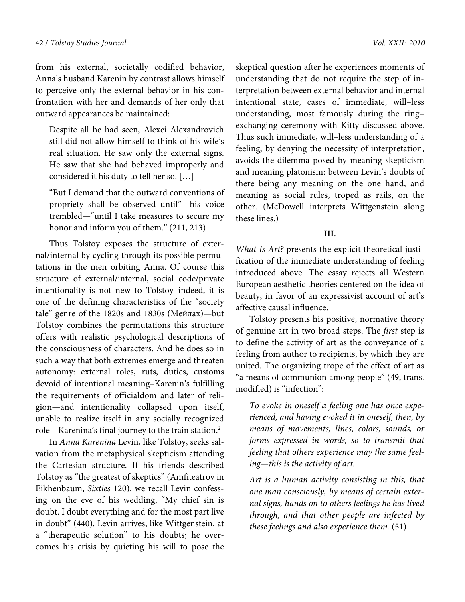from his external, societally codified behavior, Anna's husband Karenin by contrast allows himself to perceive only the external behavior in his confrontation with her and demands of her only that outward appearances be maintained:

Despite all he had seen, Alexei Alexandrovich still did not allow himself to think of his wife's real situation. He saw only the external signs. He saw that she had behaved improperly and considered it his duty to tell her so. […]

"But I demand that the outward conventions of propriety shall be observed until"—his voice trembled—"until I take measures to secure my honor and inform you of them." (211, 213)

Thus Tolstoy exposes the structure of external/internal by cycling through its possible permutations in the men orbiting Anna. Of course this structure of external/internal, social code/private intentionality is not new to Tolstoy–indeed, it is one of the defining characteristics of the "society tale" genre of the 1820s and 1830s (Мейлах)—but Tolstoy combines the permutations this structure offers with realistic psychological descriptions of the consciousness of characters. And he does so in such a way that both extremes emerge and threaten autonomy: external roles, ruts, duties, customs devoid of intentional meaning–Karenin's fulfilling the requirements of officialdom and later of religion—and intentionality collapsed upon itself, unable to realize itself in any socially recognized role—Karenina's final journey to the train station.<sup>2</sup>

In Anna Karenina Levin, like Tolstoy, seeks salvation from the metaphysical skepticism attending the Cartesian structure. If his friends described Tolstoy as "the greatest of skeptics" (Amfiteatrov in Eikhenbaum, Sixties 120), we recall Levin confessing on the eve of his wedding, "My chief sin is doubt. I doubt everything and for the most part live in doubt" (440). Levin arrives, like Wittgenstein, at a "therapeutic solution" to his doubts; he overcomes his crisis by quieting his will to pose the

skeptical question after he experiences moments of understanding that do not require the step of interpretation between external behavior and internal intentional state, cases of immediate, will–less understanding, most famously during the ring– exchanging ceremony with Kitty discussed above. Thus such immediate, will–less understanding of a feeling, by denying the necessity of interpretation, avoids the dilemma posed by meaning skepticism and meaning platonism: between Levin's doubts of there being any meaning on the one hand, and meaning as social rules, troped as rails, on the other. (McDowell interprets Wittgenstein along these lines.)

## **III.**

What Is Art? presents the explicit theoretical justification of the immediate understanding of feeling introduced above. The essay rejects all Western European aesthetic theories centered on the idea of beauty, in favor of an expressivist account of art's affective causal influence.

Tolstoy presents his positive, normative theory of genuine art in two broad steps. The first step is to define the activity of art as the conveyance of a feeling from author to recipients, by which they are united. The organizing trope of the effect of art as "a means of communion among people" (49, trans. modified) is "infection":

To evoke in oneself a feeling one has once experienced, and having evoked it in oneself, then, by means of movements, lines, colors, sounds, or forms expressed in words, so to transmit that feeling that others experience may the same feeling—this is the activity of art.

Art is a human activity consisting in this, that one man consciously, by means of certain external signs, hands on to others feelings he has lived through, and that other people are infected by these feelings and also experience them. (51)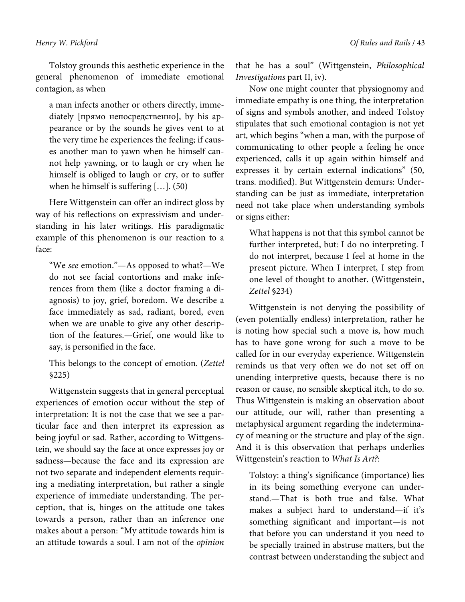Tolstoy grounds this aesthetic experience in the general phenomenon of immediate emotional contagion, as when

a man infects another or others directly, immediately [прямо непосредственно], by his appearance or by the sounds he gives vent to at the very time he experiences the feeling; if causes another man to yawn when he himself cannot help yawning, or to laugh or cry when he himself is obliged to laugh or cry, or to suffer when he himself is suffering […]. (50)

Here Wittgenstein can offer an indirect gloss by way of his reflections on expressivism and understanding in his later writings. His paradigmatic example of this phenomenon is our reaction to a face:

"We see emotion."—As opposed to what?—We do not see facial contortions and make inferences from them (like a doctor framing a diagnosis) to joy, grief, boredom. We describe a face immediately as sad, radiant, bored, even when we are unable to give any other description of the features.—Grief, one would like to say, is personified in the face.

This belongs to the concept of emotion. (Zettel §225)

Wittgenstein suggests that in general perceptual experiences of emotion occur without the step of interpretation: It is not the case that we see a particular face and then interpret its expression as being joyful or sad. Rather, according to Wittgenstein, we should say the face at once expresses joy or sadness—because the face and its expression are not two separate and independent elements requiring a mediating interpretation, but rather a single experience of immediate understanding. The perception, that is, hinges on the attitude one takes towards a person, rather than an inference one makes about a person: "My attitude towards him is an attitude towards a soul. I am not of the opinion

that he has a soul" (Wittgenstein, Philosophical Investigations part II, iv).

Now one might counter that physiognomy and immediate empathy is one thing, the interpretation of signs and symbols another, and indeed Tolstoy stipulates that such emotional contagion is not yet art, which begins "when a man, with the purpose of communicating to other people a feeling he once experienced, calls it up again within himself and expresses it by certain external indications" (50, trans. modified). But Wittgenstein demurs: Understanding can be just as immediate, interpretation need not take place when understanding symbols or signs either:

What happens is not that this symbol cannot be further interpreted, but: I do no interpreting. I do not interpret, because I feel at home in the present picture. When I interpret, I step from one level of thought to another. (Wittgenstein, Zettel §234)

Wittgenstein is not denying the possibility of (even potentially endless) interpretation, rather he is noting how special such a move is, how much has to have gone wrong for such a move to be called for in our everyday experience. Wittgenstein reminds us that very often we do not set off on unending interpretive quests, because there is no reason or cause, no sensible skeptical itch, to do so. Thus Wittgenstein is making an observation about our attitude, our will, rather than presenting a metaphysical argument regarding the indeterminacy of meaning or the structure and play of the sign. And it is this observation that perhaps underlies Wittgenstein's reaction to What Is Art?:

Tolstoy: a thing's significance (importance) lies in its being something everyone can understand.—That is both true and false. What makes a subject hard to understand—if it's something significant and important—is not that before you can understand it you need to be specially trained in abstruse matters, but the contrast between understanding the subject and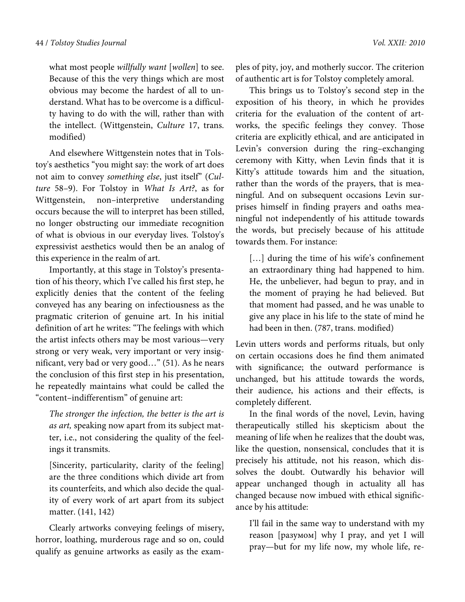what most people willfully want [wollen] to see. Because of this the very things which are most obvious may become the hardest of all to understand. What has to be overcome is a difficulty having to do with the will, rather than with the intellect. (Wittgenstein, Culture 17, trans. modified)

And elsewhere Wittgenstein notes that in Tolstoy's aesthetics "you might say: the work of art does not aim to convey something else, just itself" (Culture 58–9). For Tolstoy in What Is Art?, as for Wittgenstein, non–interpretive understanding occurs because the will to interpret has been stilled, no longer obstructing our immediate recognition of what is obvious in our everyday lives. Tolstoy's expressivist aesthetics would then be an analog of this experience in the realm of art.

Importantly, at this stage in Tolstoy's presentation of his theory, which I've called his first step, he explicitly denies that the content of the feeling conveyed has any bearing on infectiousness as the pragmatic criterion of genuine art. In his initial definition of art he writes: "The feelings with which the artist infects others may be most various—very strong or very weak, very important or very insignificant, very bad or very good…" (51). As he nears the conclusion of this first step in his presentation, he repeatedly maintains what could be called the "content–indifferentism" of genuine art:

The stronger the infection, the better is the art is as art, speaking now apart from its subject matter, i.e., not considering the quality of the feelings it transmits.

[Sincerity, particularity, clarity of the feeling] are the three conditions which divide art from its counterfeits, and which also decide the quality of every work of art apart from its subject matter. (141, 142)

Clearly artworks conveying feelings of misery, horror, loathing, murderous rage and so on, could qualify as genuine artworks as easily as the examples of pity, joy, and motherly succor. The criterion of authentic art is for Tolstoy completely amoral.

This brings us to Tolstoy's second step in the exposition of his theory, in which he provides criteria for the evaluation of the content of artworks, the specific feelings they convey. Those criteria are explicitly ethical, and are anticipated in Levin's conversion during the ring–exchanging ceremony with Kitty, when Levin finds that it is Kitty's attitude towards him and the situation, rather than the words of the prayers, that is meaningful. And on subsequent occasions Levin surprises himself in finding prayers and oaths meaningful not independently of his attitude towards the words, but precisely because of his attitude towards them. For instance:

[...] during the time of his wife's confinement an extraordinary thing had happened to him. He, the unbeliever, had begun to pray, and in the moment of praying he had believed. But that moment had passed, and he was unable to give any place in his life to the state of mind he had been in then. (787, trans. modified)

Levin utters words and performs rituals, but only on certain occasions does he find them animated with significance; the outward performance is unchanged, but his attitude towards the words, their audience, his actions and their effects, is completely different.

In the final words of the novel, Levin, having therapeutically stilled his skepticism about the meaning of life when he realizes that the doubt was, like the question, nonsensical, concludes that it is precisely his attitude, not his reason, which dissolves the doubt. Outwardly his behavior will appear unchanged though in actuality all has changed because now imbued with ethical significance by his attitude:

I'll fail in the same way to understand with my reason [разумом] why I pray, and yet I will pray—but for my life now, my whole life, re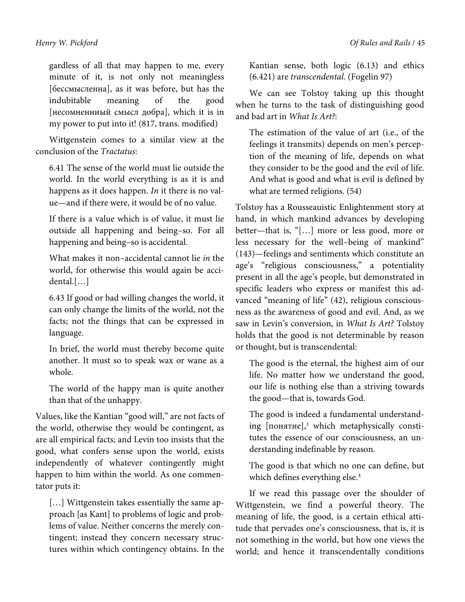gardless of all that may happen to me, every minute of it, is not only not meaningless [бессмысленна], as it was before, but has the indubitable meaning of the good [несомненниый смысл добра], which it is in my power to put into it! (817, trans. modified)

Wittgenstein comes to a similar view at the conclusion of the Tractatus:

6.41 The sense of the world must lie outside the world. In the world everything is as it is and happens as it does happen. In it there is no value—and if there were, it would be of no value.

If there is a value which is of value, it must lie outside all happening and being–so. For all happening and being–so is accidental.

What makes it non–accidental cannot lie *in* the world, for otherwise this would again be accidental.[…]

6.43 If good or bad willing changes the world, it can only change the limits of the world, not the facts; not the things that can be expressed in language.

In brief, the world must thereby become quite another. It must so to speak wax or wane as a whole.

The world of the happy man is quite another than that of the unhappy.

Values, like the Kantian "good will," are not facts of the world, otherwise they would be contingent, as are all empirical facts; and Levin too insists that the good, what confers sense upon the world, exists independently of whatever contingently might happen to him within the world. As one commentator puts it:

[...] Wittgenstein takes essentially the same approach [as Kant] to problems of logic and problems of value. Neither concerns the merely contingent; instead they concern necessary structures within which contingency obtains. In the Kantian sense, both logic (6.13) and ethics (6.421) are transcendental. (Fogelin 97)

We can see Tolstoy taking up this thought when he turns to the task of distinguishing good and bad art in What Is Art?:

The estimation of the value of art (i.e., of the feelings it transmits) depends on men's perception of the meaning of life, depends on what they consider to be the good and the evil of life. And what is good and what is evil is defined by what are termed religions. (54)

Tolstoy has a Rousseauistic Enlightenment story at hand, in which mankind advances by developing better—that is, "[…] more or less good, more or less necessary for the well–being of mankind" (143)—feelings and sentiments which constitute an age's "religious consciousness," a potentiality present in all the age's people, but demonstrated in specific leaders who express or manifest this advanced "meaning of life" (42), religious consciousness as the awareness of good and evil. And, as we saw in Levin's conversion, in What Is Art? Tolstoy holds that the good is not determinable by reason or thought, but is transcendental:

The good is the eternal, the highest aim of our life. No matter how we understand the good, our life is nothing else than a striving towards the good—that is, towards God.

The good is indeed a fundamental understanding [понятие],<sup>3</sup> which metaphysically constitutes the essence of our consciousness, an understanding indefinable by reason.

The good is that which no one can define, but which defines everything else.<sup>4</sup>

If we read this passage over the shoulder of Wittgenstein, we find a powerful theory. The meaning of life, the good, is a certain ethical attitude that pervades one's consciousness, that is, it is not something in the world, but how one views the world; and hence it transcendentally conditions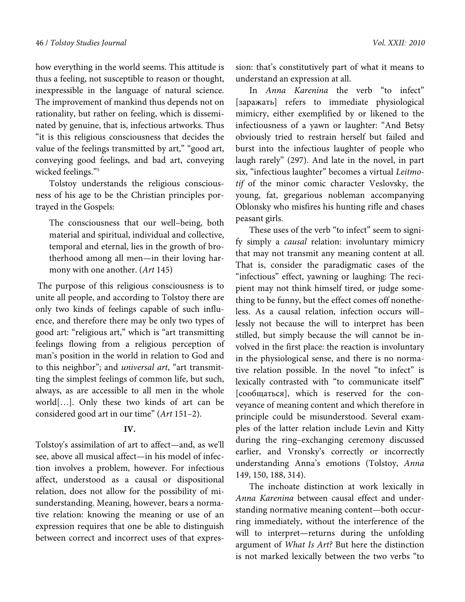how everything in the world seems. This attitude is thus a feeling, not susceptible to reason or thought, inexpressible in the language of natural science. The improvement of mankind thus depends not on rationality, but rather on feeling, which is disseminated by genuine, that is, infectious artworks. Thus "it is this religious consciousness that decides the value of the feelings transmitted by art," "good art, conveying good feelings, and bad art, conveying wicked feelings."5

Tolstoy understands the religious consciousness of his age to be the Christian principles portrayed in the Gospels:

The consciousness that our well–being, both material and spiritual, individual and collective, temporal and eternal, lies in the growth of brotherhood among all men—in their loving harmony with one another. (Art 145)

 The purpose of this religious consciousness is to unite all people, and according to Tolstoy there are only two kinds of feelings capable of such influence, and therefore there may be only two types of good art: "religious art," which is "art transmitting feelings flowing from a religious perception of man's position in the world in relation to God and to this neighbor"; and *universal art*, "art transmitting the simplest feelings of common life, but such, always, as are accessible to all men in the whole world[…]. Only these two kinds of art can be considered good art in our time" (Art 151–2).

### **IV.**

Tolstoy's assimilation of art to affect—and, as we'll see, above all musical affect—in his model of infection involves a problem, however. For infectious affect, understood as a causal or dispositional relation, does not allow for the possibility of misunderstanding. Meaning, however, bears a normative relation: knowing the meaning or use of an expression requires that one be able to distinguish between correct and incorrect uses of that expression: that's constitutively part of what it means to understand an expression at all.

In Anna Karenina the verb "to infect" [заражать] refers to immediate physiological mimicry, either exemplified by or likened to the infectiousness of a yawn or laughter: "And Betsy obviously tried to restrain herself but failed and burst into the infectious laughter of people who laugh rarely" (297). And late in the novel, in part six, "infectious laughter" becomes a virtual Leitmotif of the minor comic character Veslovsky, the young, fat, gregarious nobleman accompanying Oblonsky who misfires his hunting rifle and chases peasant girls.

These uses of the verb "to infect" seem to signify simply a causal relation: involuntary mimicry that may not transmit any meaning content at all. That is, consider the paradigmatic cases of the "infectious" effect, yawning or laughing: The recipient may not think himself tired, or judge something to be funny, but the effect comes off nonetheless. As a causal relation, infection occurs will– lessly not because the will to interpret has been stilled, but simply because the will cannot be involved in the first place: the reaction is involuntary in the physiological sense, and there is no normative relation possible. In the novel "to infect" is lexically contrasted with "to communicate itself" [сообщаться], which is reserved for the conveyance of meaning content and which therefore in principle could be misunderstood. Several examples of the latter relation include Levin and Kitty during the ring–exchanging ceremony discussed earlier, and Vronsky's correctly or incorrectly understanding Anna's emotions (Tolstoy, Anna 149, 150, 188, 314).

The inchoate distinction at work lexically in Anna Karenina between causal effect and understanding normative meaning content—both occurring immediately, without the interference of the will to interpret—returns during the unfolding argument of What Is Art? But here the distinction is not marked lexically between the two verbs "to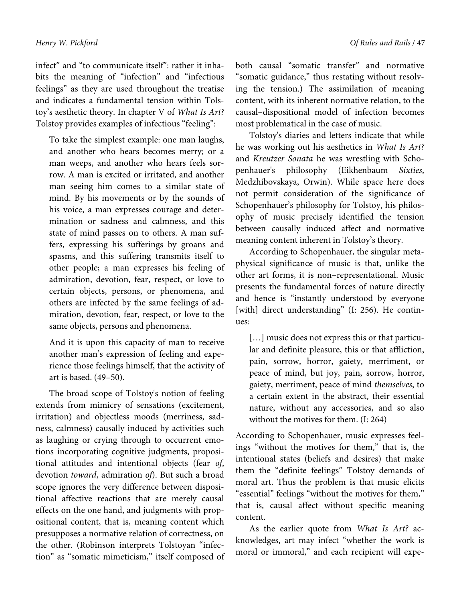infect" and "to communicate itself": rather it inhabits the meaning of "infection" and "infectious feelings" as they are used throughout the treatise and indicates a fundamental tension within Tolstoy's aesthetic theory. In chapter V of What Is Art? Tolstoy provides examples of infectious "feeling":

To take the simplest example: one man laughs, and another who hears becomes merry; or a man weeps, and another who hears feels sorrow. A man is excited or irritated, and another man seeing him comes to a similar state of mind. By his movements or by the sounds of his voice, a man expresses courage and determination or sadness and calmness, and this state of mind passes on to others. A man suffers, expressing his sufferings by groans and spasms, and this suffering transmits itself to other people; a man expresses his feeling of admiration, devotion, fear, respect, or love to certain objects, persons, or phenomena, and others are infected by the same feelings of admiration, devotion, fear, respect, or love to the same objects, persons and phenomena.

And it is upon this capacity of man to receive another man's expression of feeling and experience those feelings himself, that the activity of art is based. (49–50).

The broad scope of Tolstoy's notion of feeling extends from mimicry of sensations (excitement, irritation) and objectless moods (merriness, sadness, calmness) causally induced by activities such as laughing or crying through to occurrent emotions incorporating cognitive judgments, propositional attitudes and intentional objects (fear of, devotion toward, admiration of). But such a broad scope ignores the very difference between dispositional affective reactions that are merely causal effects on the one hand, and judgments with propositional content, that is, meaning content which presupposes a normative relation of correctness, on the other. (Robinson interprets Tolstoyan "infection" as "somatic mimeticism," itself composed of both causal "somatic transfer" and normative "somatic guidance," thus restating without resolving the tension.) The assimilation of meaning content, with its inherent normative relation, to the causal–dispositional model of infection becomes most problematical in the case of music.

Tolstoy's diaries and letters indicate that while he was working out his aesthetics in What Is Art? and Kreutzer Sonata he was wrestling with Schopenhauer's philosophy (Eikhenbaum Sixties, Medzhibovskaya, Orwin). While space here does not permit consideration of the significance of Schopenhauer's philosophy for Tolstoy, his philosophy of music precisely identified the tension between causally induced affect and normative meaning content inherent in Tolstoy's theory.

According to Schopenhauer, the singular metaphysical significance of music is that, unlike the other art forms, it is non–representational. Music presents the fundamental forces of nature directly and hence is "instantly understood by everyone [with] direct understanding" (I: 256). He continues:

[...] music does not express this or that particular and definite pleasure, this or that affliction, pain, sorrow, horror, gaiety, merriment, or peace of mind, but joy, pain, sorrow, horror, gaiety, merriment, peace of mind themselves, to a certain extent in the abstract, their essential nature, without any accessories, and so also without the motives for them. (I: 264)

According to Schopenhauer, music expresses feelings "without the motives for them," that is, the intentional states (beliefs and desires) that make them the "definite feelings" Tolstoy demands of moral art. Thus the problem is that music elicits "essential" feelings "without the motives for them," that is, causal affect without specific meaning content.

As the earlier quote from What Is Art? acknowledges, art may infect "whether the work is moral or immoral," and each recipient will expe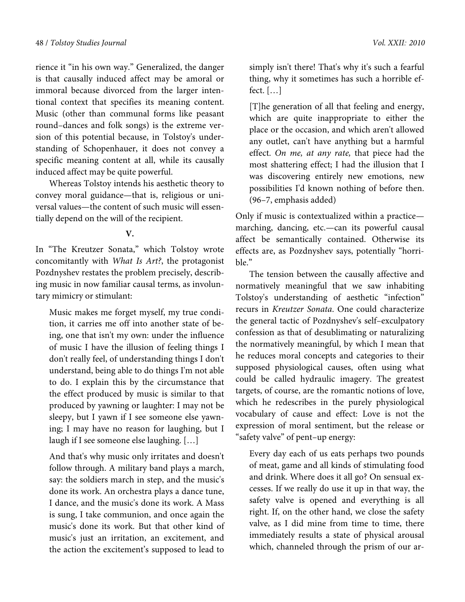rience it "in his own way." Generalized, the danger is that causally induced affect may be amoral or immoral because divorced from the larger intentional context that specifies its meaning content. Music (other than communal forms like peasant round–dances and folk songs) is the extreme version of this potential because, in Tolstoy's understanding of Schopenhauer, it does not convey a specific meaning content at all, while its causally induced affect may be quite powerful.

Whereas Tolstoy intends his aesthetic theory to convey moral guidance—that is, religious or universal values—the content of such music will essentially depend on the will of the recipient.

### **V.**

In "The Kreutzer Sonata," which Tolstoy wrote concomitantly with What Is Art?, the protagonist Pozdnyshev restates the problem precisely, describing music in now familiar causal terms, as involuntary mimicry or stimulant:

Music makes me forget myself, my true condition, it carries me off into another state of being, one that isn't my own: under the influence of music I have the illusion of feeling things I don't really feel, of understanding things I don't understand, being able to do things I'm not able to do. I explain this by the circumstance that the effect produced by music is similar to that produced by yawning or laughter: I may not be sleepy, but I yawn if I see someone else yawning; I may have no reason for laughing, but I laugh if I see someone else laughing. […]

And that's why music only irritates and doesn't follow through. A military band plays a march, say: the soldiers march in step, and the music's done its work. An orchestra plays a dance tune, I dance, and the music's done its work. A Mass is sung, I take communion, and once again the music's done its work. But that other kind of music's just an irritation, an excitement, and the action the excitement's supposed to lead to

simply isn't there! That's why it's such a fearful thing, why it sometimes has such a horrible effect. […]

[T]he generation of all that feeling and energy, which are quite inappropriate to either the place or the occasion, and which aren't allowed any outlet, can't have anything but a harmful effect. On me, at any rate, that piece had the most shattering effect; I had the illusion that I was discovering entirely new emotions, new possibilities I'd known nothing of before then. (96–7, emphasis added)

Only if music is contextualized within a practice marching, dancing, etc.—can its powerful causal affect be semantically contained. Otherwise its effects are, as Pozdnyshev says, potentially "horrible."

The tension between the causally affective and normatively meaningful that we saw inhabiting Tolstoy's understanding of aesthetic "infection" recurs in Kreutzer Sonata. One could characterize the general tactic of Pozdnyshev's self–exculpatory confession as that of desublimating or naturalizing the normatively meaningful, by which I mean that he reduces moral concepts and categories to their supposed physiological causes, often using what could be called hydraulic imagery. The greatest targets, of course, are the romantic notions of love, which he redescribes in the purely physiological vocabulary of cause and effect: Love is not the expression of moral sentiment, but the release or "safety valve" of pent–up energy:

Every day each of us eats perhaps two pounds of meat, game and all kinds of stimulating food and drink. Where does it all go? On sensual excesses. If we really do use it up in that way, the safety valve is opened and everything is all right. If, on the other hand, we close the safety valve, as I did mine from time to time, there immediately results a state of physical arousal which, channeled through the prism of our ar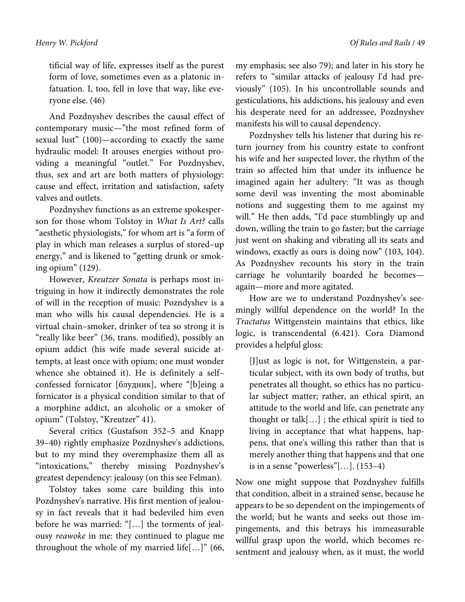tificial way of life, expresses itself as the purest form of love, sometimes even as a platonic infatuation. I, too, fell in love that way, like everyone else. (46)

And Pozdnyshev describes the causal effect of contemporary music—"the most refined form of sexual lust" (100)—according to exactly the same hydraulic model: It arouses energies without providing a meaningful "outlet." For Pozdnyshev, thus, sex and art are both matters of physiology: cause and effect, irritation and satisfaction, safety valves and outlets.

Pozdnyshev functions as an extreme spokesperson for those whom Tolstoy in What Is Art? calls "aesthetic physiologists," for whom art is "a form of play in which man releases a surplus of stored–up energy," and is likened to "getting drunk or smoking opium" (129).

However, Kreutzer Sonata is perhaps most intriguing in how it indirectly demonstrates the role of will in the reception of music: Pozndyshev is a man who wills his causal dependencies. He is a virtual chain–smoker, drinker of tea so strong it is "really like beer" (36, trans. modified), possibly an opium addict (his wife made several suicide attempts, at least once with opium; one must wonder whence she obtained it). He is definitely a self– confessed fornicator [блудник], where "[b]eing a fornicator is a physical condition similar to that of a morphine addict, an alcoholic or a smoker of opium" (Tolstoy, "Kreutzer" 41).

Several critics (Gustafson 352–5 and Knapp 39–40) rightly emphasize Pozdnyshev's addictions, but to my mind they overemphasize them all as "intoxications," thereby missing Pozdnyshev's greatest dependency: jealousy (on this see Felman).

Tolstoy takes some care building this into Pozdnyshev's narrative. His first mention of jealousy in fact reveals that it had bedeviled him even before he was married: "[…] the torments of jealousy reawoke in me: they continued to plague me throughout the whole of my married life[…]" (66, my emphasis; see also 79); and later in his story he refers to "similar attacks of jealousy I'd had previously" (105). In his uncontrollable sounds and gesticulations, his addictions, his jealousy and even his desperate need for an addressee, Pozdnyshev manifests his will to causal dependency.

Pozdnyshev tells his listener that during his return journey from his country estate to confront his wife and her suspected lover, the rhythm of the train so affected him that under its influence he imagined again her adultery: "It was as though some devil was inventing the most abominable notions and suggesting them to me against my will." He then adds, "I'd pace stumblingly up and down, willing the train to go faster; but the carriage just went on shaking and vibrating all its seats and windows, exactly as ours is doing now" (103, 104). As Pozdnyshev recounts his story in the train carriage he voluntarily boarded he becomes again—more and more agitated.

How are we to understand Pozdnyshev's seemingly willful dependence on the world? In the Tractatus Wittgenstein maintains that ethics, like logic, is transcendental (6.421). Cora Diamond provides a helpful gloss:

[J]ust as logic is not, for Wittgenstein, a particular subject, with its own body of truths, but penetrates all thought, so ethics has no particular subject matter; rather, an ethical spirit, an attitude to the world and life, can penetrate any thought or talk[…] ; the ethical spirit is tied to living in acceptance that what happens, happens, that one's willing this rather than that is merely another thing that happens and that one is in a sense "powerless"[…]. (153–4)

Now one might suppose that Pozdnyshev fulfills that condition, albeit in a strained sense, because he appears to be so dependent on the impingements of the world; but he wants and seeks out those impingements, and this betrays his immeasurable willful grasp upon the world, which becomes resentment and jealousy when, as it must, the world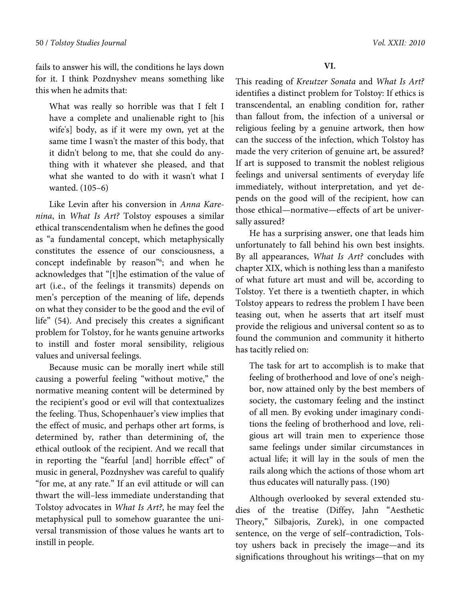fails to answer his will, the conditions he lays down for it. I think Pozdnyshev means something like this when he admits that:

What was really so horrible was that I felt I have a complete and unalienable right to [his wife's] body, as if it were my own, yet at the same time I wasn't the master of this body, that it didn't belong to me, that she could do anything with it whatever she pleased, and that what she wanted to do with it wasn't what I wanted. (105–6)

Like Levin after his conversion in Anna Karenina, in What Is Art? Tolstoy espouses a similar ethical transcendentalism when he defines the good as "a fundamental concept, which metaphysically constitutes the essence of our consciousness, a concept indefinable by reason"6 ; and when he acknowledges that "[t]he estimation of the value of art (i.e., of the feelings it transmits) depends on men's perception of the meaning of life, depends on what they consider to be the good and the evil of life" (54). And precisely this creates a significant problem for Tolstoy, for he wants genuine artworks to instill and foster moral sensibility, religious values and universal feelings.

Because music can be morally inert while still causing a powerful feeling "without motive," the normative meaning content will be determined by the recipient's good or evil will that contextualizes the feeling. Thus, Schopenhauer's view implies that the effect of music, and perhaps other art forms, is determined by, rather than determining of, the ethical outlook of the recipient. And we recall that in reporting the "fearful [and] horrible effect" of music in general, Pozdnyshev was careful to qualify "for me, at any rate." If an evil attitude or will can thwart the will–less immediate understanding that Tolstoy advocates in What Is Art?, he may feel the metaphysical pull to somehow guarantee the universal transmission of those values he wants art to instill in people.

This reading of Kreutzer Sonata and What Is Art? identifies a distinct problem for Tolstoy: If ethics is transcendental, an enabling condition for, rather than fallout from, the infection of a universal or religious feeling by a genuine artwork, then how can the success of the infection, which Tolstoy has made the very criterion of genuine art, be assured? If art is supposed to transmit the noblest religious feelings and universal sentiments of everyday life immediately, without interpretation, and yet depends on the good will of the recipient, how can those ethical—normative—effects of art be universally assured?

He has a surprising answer, one that leads him unfortunately to fall behind his own best insights. By all appearances, What Is Art? concludes with chapter XIX, which is nothing less than a manifesto of what future art must and will be, according to Tolstoy. Yet there is a twentieth chapter, in which Tolstoy appears to redress the problem I have been teasing out, when he asserts that art itself must provide the religious and universal content so as to found the communion and community it hitherto has tacitly relied on:

The task for art to accomplish is to make that feeling of brotherhood and love of one's neighbor, now attained only by the best members of society, the customary feeling and the instinct of all men. By evoking under imaginary conditions the feeling of brotherhood and love, religious art will train men to experience those same feelings under similar circumstances in actual life; it will lay in the souls of men the rails along which the actions of those whom art thus educates will naturally pass. (190)

Although overlooked by several extended studies of the treatise (Diffey, Jahn "Aesthetic Theory," Silbajoris, Zurek), in one compacted sentence, on the verge of self–contradiction, Tolstoy ushers back in precisely the image—and its significations throughout his writings—that on my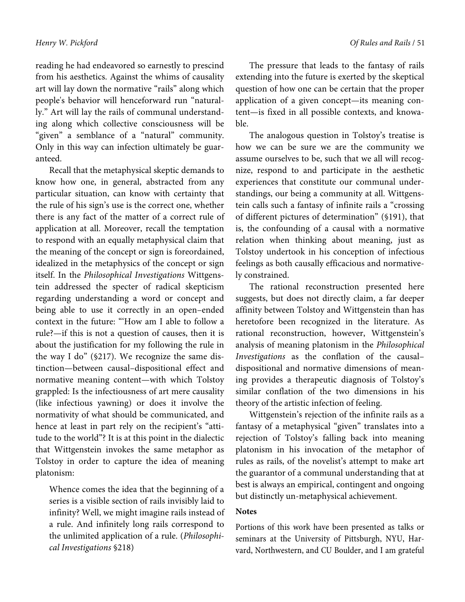reading he had endeavored so earnestly to prescind from his aesthetics. Against the whims of causality art will lay down the normative "rails" along which people's behavior will henceforward run "naturally." Art will lay the rails of communal understanding along which collective consciousness will be "given" a semblance of a "natural" community. Only in this way can infection ultimately be guaranteed.

Recall that the metaphysical skeptic demands to know how one, in general, abstracted from any particular situation, can know with certainty that the rule of his sign's use is the correct one, whether there is any fact of the matter of a correct rule of application at all. Moreover, recall the temptation to respond with an equally metaphysical claim that the meaning of the concept or sign is foreordained, idealized in the metaphysics of the concept or sign itself. In the Philosophical Investigations Wittgenstein addressed the specter of radical skepticism regarding understanding a word or concept and being able to use it correctly in an open–ended context in the future: "'How am I able to follow a rule?—if this is not a question of causes, then it is about the justification for my following the rule in the way I do" (§217). We recognize the same distinction—between causal–dispositional effect and normative meaning content—with which Tolstoy grappled: Is the infectiousness of art mere causality (like infectious yawning) or does it involve the normativity of what should be communicated, and hence at least in part rely on the recipient's "attitude to the world"? It is at this point in the dialectic that Wittgenstein invokes the same metaphor as Tolstoy in order to capture the idea of meaning platonism:

Whence comes the idea that the beginning of a series is a visible section of rails invisibly laid to infinity? Well, we might imagine rails instead of a rule. And infinitely long rails correspond to the unlimited application of a rule. (Philosophical Investigations §218)

The pressure that leads to the fantasy of rails extending into the future is exerted by the skeptical question of how one can be certain that the proper application of a given concept—its meaning content—is fixed in all possible contexts, and knowable.

The analogous question in Tolstoy's treatise is how we can be sure we are the community we assume ourselves to be, such that we all will recognize, respond to and participate in the aesthetic experiences that constitute our communal understandings, our being a community at all. Wittgenstein calls such a fantasy of infinite rails a "crossing of different pictures of determination" (§191), that is, the confounding of a causal with a normative relation when thinking about meaning, just as Tolstoy undertook in his conception of infectious feelings as both causally efficacious and normatively constrained.

The rational reconstruction presented here suggests, but does not directly claim, a far deeper affinity between Tolstoy and Wittgenstein than has heretofore been recognized in the literature. As rational reconstruction, however, Wittgenstein's analysis of meaning platonism in the Philosophical Investigations as the conflation of the causal– dispositional and normative dimensions of meaning provides a therapeutic diagnosis of Tolstoy's similar conflation of the two dimensions in his theory of the artistic infection of feeling.

Wittgenstein's rejection of the infinite rails as a fantasy of a metaphysical "given" translates into a rejection of Tolstoy's falling back into meaning platonism in his invocation of the metaphor of rules as rails, of the novelist's attempt to make art the guarantor of a communal understanding that at best is always an empirical, contingent and ongoing but distinctly un-metaphysical achievement.

#### **Notes**

Portions of this work have been presented as talks or seminars at the University of Pittsburgh, NYU, Harvard, Northwestern, and CU Boulder, and I am grateful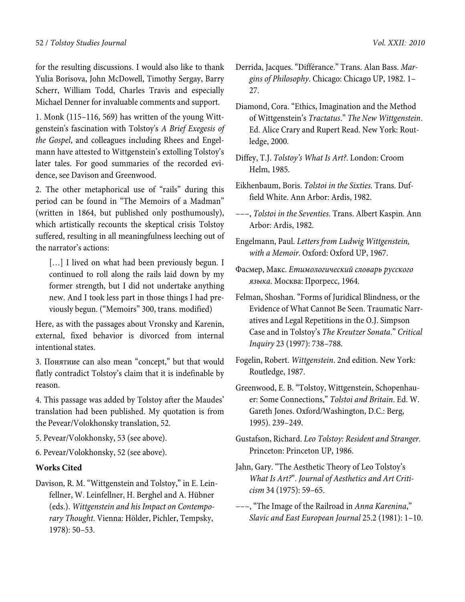for the resulting discussions. I would also like to thank Yulia Borisova, John McDowell, Timothy Sergay, Barry Scherr, William Todd, Charles Travis and especially Michael Denner for invaluable comments and support.

1. Monk (115–116, 569) has written of the young Wittgenstein's fascination with Tolstoy's *A Brief Exegesis of the Gospel*, and colleagues including Rhees and Engelmann have attested to Wittgenstein's extolling Tolstoy's later tales. For good summaries of the recorded evidence, see Davison and Greenwood.

2. The other metaphorical use of "rails" during this period can be found in "The Memoirs of a Madman" (written in 1864, but published only posthumously), which artistically recounts the skeptical crisis Tolstoy suffered, resulting in all meaningfulness leeching out of the narrator's actions:

[...] I lived on what had been previously begun. I continued to roll along the rails laid down by my former strength, but I did not undertake anything new. And I took less part in those things I had previously begun. ("Memoirs" 300, trans. modified)

Here, as with the passages about Vronsky and Karenin, external, fixed behavior is divorced from internal intentional states.

3. Понятиие can also mean "concept," but that would flatly contradict Tolstoy's claim that it is indefinable by reason.

- 4. This passage was added by Tolstoy after the Maudes' translation had been published. My quotation is from the Pevear/Volokhonsky translation, 52.
- 5. Pevear/Volokhonsky, 53 (see above).

6. Pevear/Volokhonsky, 52 (see above).

### **Works Cited**

Davison, R. M. "Wittgenstein and Tolstoy," in E. Leinfellner, W. Leinfellner, H. Berghel and A. Hübner (eds.). *Wittgenstein and his Impact on Contemporary Thought*. Vienna: Hölder, Pichler, Tempsky, 1978): 50–53.

- Derrida, Jacques. "Différance." Trans. Alan Bass. *Margins of Philosophy*. Chicago: Chicago UP, 1982. 1– 27.
- Diamond, Cora. "Ethics, Imagination and the Method of Wittgenstein's *Tractatus*." *The New Wittgenstein*. Ed. Alice Crary and Rupert Read. New York: Routledge, 2000.
- Diffey, T.J. *Tolstoy's What Is Art?*. London: Croom Helm, 1985.
- Eikhenbaum, Boris. *Tolstoi in the Sixties*. Trans. Duffield White. Ann Arbor: Ardis, 1982.
- –––, *Tolstoi in the Seventies*. Trans. Albert Kaspin. Ann Arbor: Ardis, 1982.
- Engelmann, Paul. *Letters from Ludwig Wittgenstein, with a Memoir*. Oxford: Oxford UP, 1967.
- Фасмер, Макс. *Етимологический словарь русского языка*. Москва: Прогресс, 1964.
- Felman, Shoshan. "Forms of Juridical Blindness, or the Evidence of What Cannot Be Seen. Traumatic Narratives and Legal Repetitions in the O.J. Simpson Case and in Tolstoy's *The Kreutzer Sonata*." *Critical Inquiry* 23 (1997): 738–788.
- Fogelin, Robert. *Wittgenstein*. 2nd edition. New York: Routledge, 1987.
- Greenwood, E. B. "Tolstoy, Wittgenstein, Schopenhauer: Some Connections," *Tolstoi and Britain*. Ed. W. Gareth Jones. Oxford/Washington, D.C.: Berg, 1995). 239–249.
- Gustafson, Richard. *Leo Tolstoy: Resident and Stranger*. Princeton: Princeton UP, 1986.
- Jahn, Gary. "The Aesthetic Theory of Leo Tolstoy's *What Is Art?*". *Journal of Aesthetics and Art Criticism* 34 (1975): 59–65.
- –––, "The Image of the Railroad in *Anna Karenina*," *Slavic and East European Journal* 25.2 (1981): 1–10.